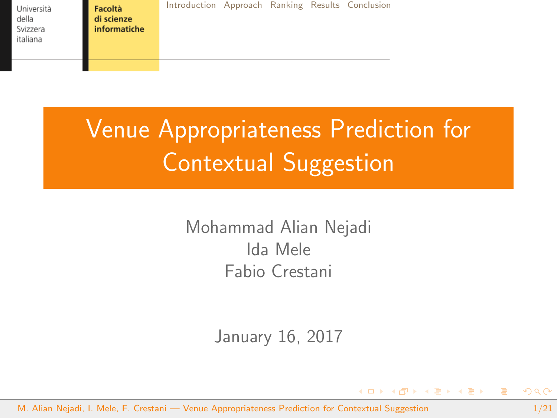<span id="page-0-0"></span>Facoltà di scienze informatiche [Introduction](#page-1-0) [Approach](#page-4-0) [Ranking](#page-16-0) [Results](#page-17-0) [Conclusion](#page-19-0)

# Venue Appropriateness Prediction for Contextual Suggestion

Mohammad Alian Nejadi Ida Mele Fabio Crestani

January 16, 2017

M. Alian Nejadi, I. Mele, F. Crestani — [Venue Appropriateness Prediction for Contextual Suggestion](#page-20-0) 1/21

重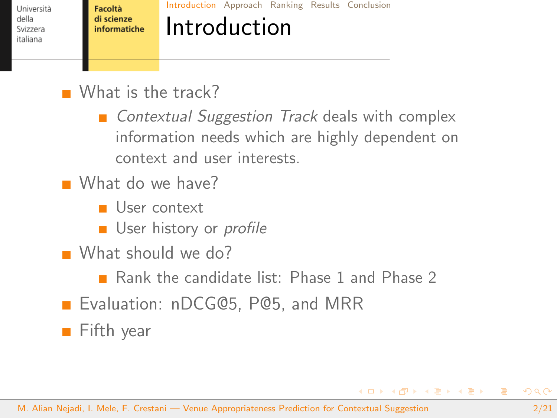<span id="page-1-0"></span>Facoltà di scienze informatiche [Introduction](#page-1-0) [Approach](#page-4-0) [Ranking](#page-16-0) [Results](#page-17-0) [Conclusion](#page-19-0)

## Introduction

What is the track?

■ Contextual Suggestion Track deals with complex information needs which are highly dependent on context and user interests.

- What do we have?
	- User context
	- **User history or profile**
- What should we do?
	- Rank the candidate list: Phase 1 and Phase 2
- **Exaluation: nDCG@5, P@5, and MRR**
- Fifth year

重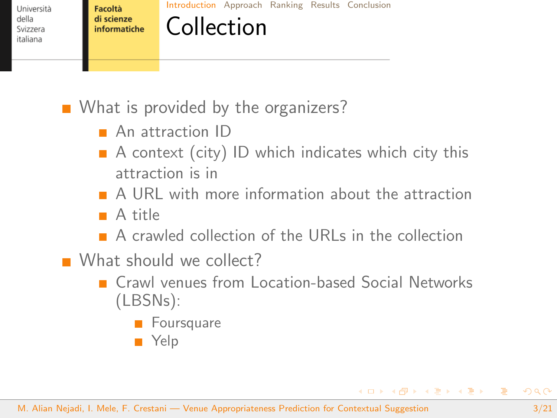Facoltà di scienze informatiche [Introduction](#page-1-0) [Approach](#page-4-0) [Ranking](#page-16-0) [Results](#page-17-0) [Conclusion](#page-19-0)

Collection

What is provided by the organizers?

- **An attraction ID**
- $\blacksquare$  A context (city) ID which indicates which city this attraction is in
- A URL with more information about the attraction
- A title
- $\blacksquare$  A crawled collection of the URLs in the collection
- What should we collect?
	- **E** Crawl venues from Location-based Social Networks (LBSNs):
		- **Foursquare**
		- Yelp

目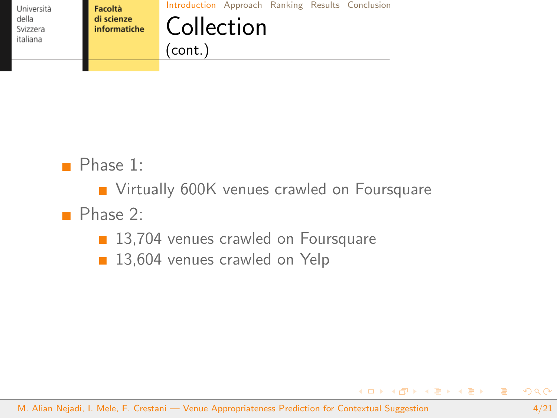

[Introduction](#page-1-0) [Approach](#page-4-0) [Ranking](#page-16-0) [Results](#page-17-0) [Conclusion](#page-19-0)

### Collection (cont.)

Phase 1:

**Virtually 600K venues crawled on Foursquare** 

Phase 2:

- 13,704 venues crawled on Foursquare
- 13,604 venues crawled on Yelp

目

K ロ ▶ K 御 ▶ K 君 ▶ K 君 ▶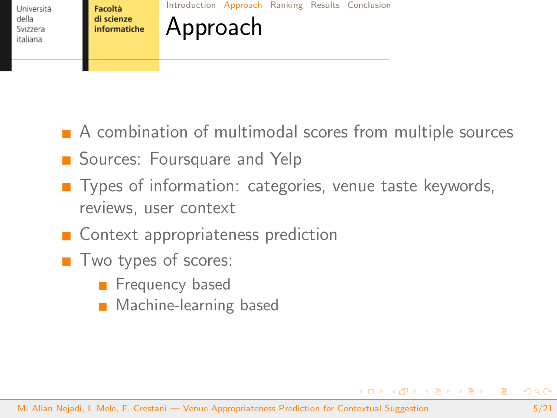<span id="page-4-0"></span>Facoltà di scienze informatiche [Introduction](#page-1-0) [Approach](#page-4-0) [Ranking](#page-16-0) [Results](#page-17-0) [Conclusion](#page-19-0)

A combination of multimodal scores from multiple sources

- Sources: Foursquare and Yelp
- Types of information: categories, venue taste keywords, reviews, user context
- Context appropriateness prediction

Approach

- $\blacksquare$  Two types of scores:
	- **Filter** Frequency based
	- **Machine-learning based**

 $4$  ロ }  $4$   $\overline{m}$  }  $4$   $\overline{m}$  }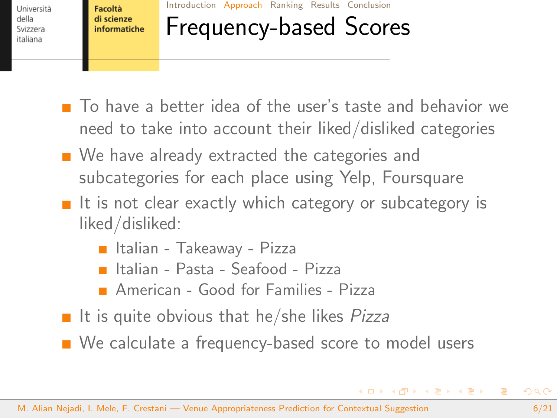Facoltà di scienze informatiche [Introduction](#page-1-0) [Approach](#page-4-0) [Ranking](#page-16-0) [Results](#page-17-0) [Conclusion](#page-19-0)

## Frequency-based Scores

- To have a better idea of the user's taste and behavior we need to take into account their liked/disliked categories
- We have already extracted the categories and subcategories for each place using Yelp, Foursquare
- $\blacksquare$  It is not clear exactly which category or subcategory is liked/disliked:
	- Italian Takeaway Pizza
	- Italian Pasta Seafood Pizza
	- **American Good for Families Pizza**
- If it is quite obvious that he/she likes  $Pizza$

■ We calculate a frequency-based score to model users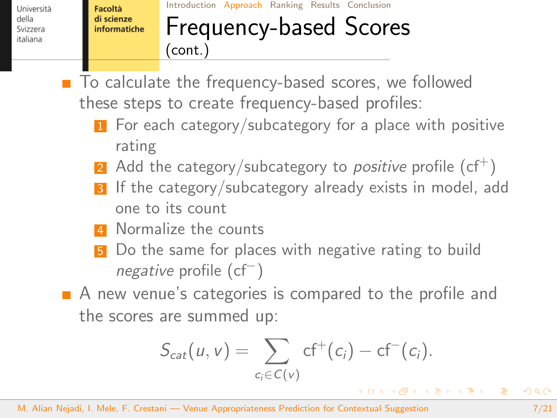Facoltà di scienze informatiche

#### [Introduction](#page-1-0) [Approach](#page-4-0) [Ranking](#page-16-0) [Results](#page-17-0) [Conclusion](#page-19-0) Frequency-based Scores (cont.)

■ To calculate the frequency-based scores, we followed these steps to create frequency-based profiles:

- For each category/subcategory for a place with positive rating
- 2 Add the category/subcategory to *positive* profile  $(cf^+)$
- 3 If the category/subcategory already exists in model, add one to its count
- **4** Normalize the counts
- Do the same for places with negative rating to build negative profile (cf<sup>-</sup>)
- A new venue's categories is compared to the profile and the scores are summed up:

$$
S_{cat}(u, v) = \sum_{c_i \in C(v)} cf^+(c_i) - cf^-(c_i).
$$

目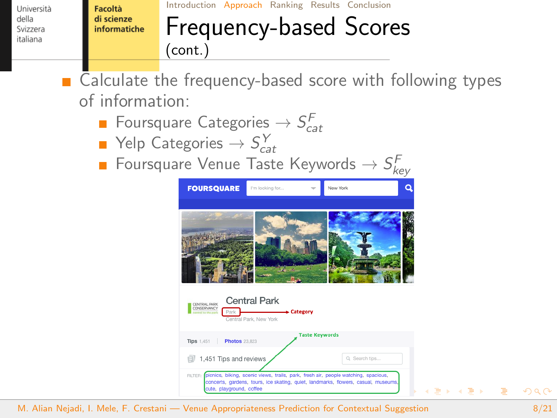Facoltà di scienze informatiche

## [Introduction](#page-1-0) [Approach](#page-4-0) [Ranking](#page-16-0) [Results](#page-17-0) [Conclusion](#page-19-0)

### Frequency-based Scores (cont.)

■ Calculate the frequency-based score with following types of information:

- Foursquare Categories  $\rightarrow$   $S_{cat}^F$
- Yelp Categories  $\rightarrow \mathit{S}_{\mathit{cat}}^{\mathit{Y}}$
- Foursquare Venue Taste Keywords  $\rightarrow \mathit{S}^{\mathcal{F}}_{\mathit{key}}$



M. Alian Nejadi, I. Mele, F. Crestani — [Venue Appropriateness Prediction for Contextual Suggestion](#page-0-0) 6/21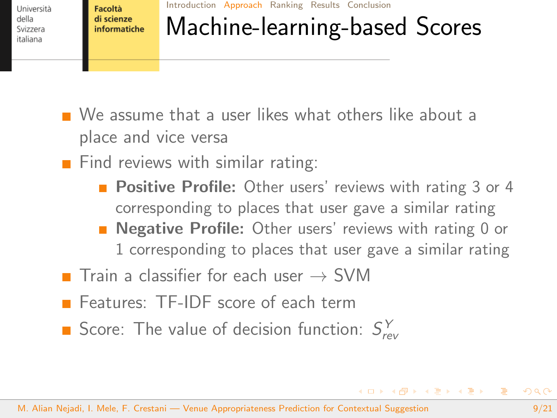Facoltà di scienze informatiche [Introduction](#page-1-0) [Approach](#page-4-0) [Ranking](#page-16-0) [Results](#page-17-0) [Conclusion](#page-19-0)

# Machine-learning-based Scores

- We assume that a user likes what others like about a place and vice versa
- $\blacksquare$  Find reviews with similar rating:
	- **Positive Profile:** Other users' reviews with rating 3 or 4 corresponding to places that user gave a similar rating
	- **Negative Profile:** Other users' reviews with rating 0 or 1 corresponding to places that user gave a similar rating
- Train a classifier for each user  $\rightarrow$  SVM
- **F** Features: TF-IDF score of each term
- Score: The value of decision function:  $S_{rev}^Y$

 $\equiv$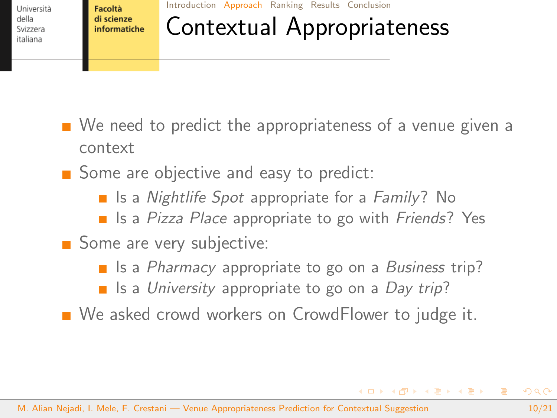Facoltà di scienze informatiche

#### [Introduction](#page-1-0) [Approach](#page-4-0) [Ranking](#page-16-0) [Results](#page-17-0) [Conclusion](#page-19-0)

# Contextual Appropriateness

- We need to predict the appropriateness of a venue given a context
- Some are objective and easy to predict:
	- $\blacksquare$  Is a Nightlife Spot appropriate for a Family? No
	- Is a Pizza Place appropriate to go with Friends? Yes
- Some are very subjective:
	- Is a *Pharmacy* appropriate to go on a *Business* trip?
	- $\blacksquare$  Is a University appropriate to go on a Day trip?
- We asked crowd workers on CrowdFlower to judge it.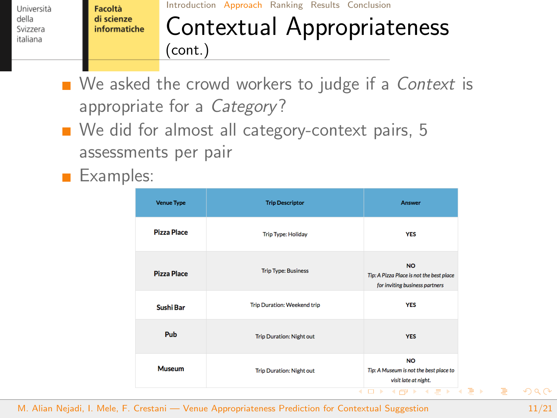Facoltà di scienze informatiche

#### [Introduction](#page-1-0) [Approach](#page-4-0) [Ranking](#page-16-0) [Results](#page-17-0) [Conclusion](#page-19-0)

## Contextual Appropriateness (cont.)

- $\blacksquare$  We asked the crowd workers to judge if a *Context* is appropriate for a Category?
- We did for almost all category-context pairs, 5 assessments per pair
- Examples:

| <b>Venue Type</b>  | <b>Trip Descriptor</b>             | Answer                                                                                                                                                                                                                                                                                                                                                                                                                                                                                                                                                                                   |
|--------------------|------------------------------------|------------------------------------------------------------------------------------------------------------------------------------------------------------------------------------------------------------------------------------------------------------------------------------------------------------------------------------------------------------------------------------------------------------------------------------------------------------------------------------------------------------------------------------------------------------------------------------------|
| <b>Pizza Place</b> | <b>Trip Type: Holiday</b>          | <b>YES</b>                                                                                                                                                                                                                                                                                                                                                                                                                                                                                                                                                                               |
| <b>Pizza Place</b> | <b>Trip Type: Business</b>         | <b>NO</b><br>Tip: A Pizza Place is not the best place<br>for inviting business partners                                                                                                                                                                                                                                                                                                                                                                                                                                                                                                  |
| Sushi Bar          | <b>Trip Duration: Weekend trip</b> | <b>YES</b>                                                                                                                                                                                                                                                                                                                                                                                                                                                                                                                                                                               |
| Pub                | <b>Trip Duration: Night out</b>    | <b>YES</b>                                                                                                                                                                                                                                                                                                                                                                                                                                                                                                                                                                               |
| <b>Museum</b>      | <b>Trip Duration: Night out</b>    | <b>NO</b><br>Tip: A Museum is not the best place to<br>visit late at night.                                                                                                                                                                                                                                                                                                                                                                                                                                                                                                              |
|                    | 4                                  | $\left\{ \left. \right  \left. \left  \left. \right  \right  \right. \left  \left. \right  \right. \left  \right. \left  \right. \right  \right. \left. \left  \left. \right  \right. \left. \left  \left. \right  \right. \left. \left  \right. \right  \right. \left. \left  \left. \right  \right. \left. \left  \left. \right  \right. \left. \left. \right  \right. \left. \left. \right  \right. \left. \left. \right  \right. \left. \left. \left  \left. \right  \right. \left. \right  \right. \left. \left. \right  \right. \left. \left. \left  \left.$<br>$\rightarrow$<br>▭ |

M. Alian Nejadi, I. Mele, F. Crestani — [Venue Appropriateness Prediction for Contextual Suggestion](#page-0-0) 11/21

 $\Rightarrow$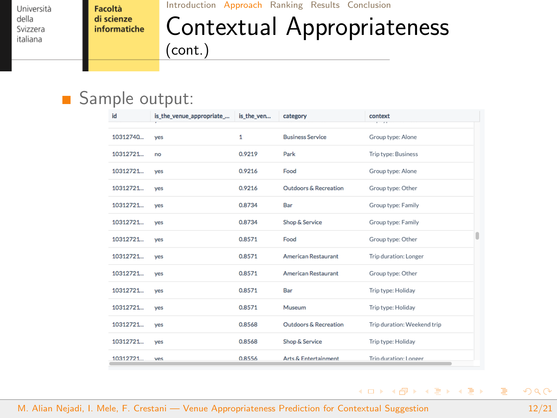Facoltà di scienze informatiche

#### [Introduction](#page-1-0) [Approach](#page-4-0) [Ranking](#page-16-0) [Results](#page-17-0) [Conclusion](#page-19-0)

### Contextual Appropriateness (cont.)

#### Sample output:

| id       | is_the_venue_appropriate_ | is the ven   | category                         | context<br><b>Contractor</b> |  |
|----------|---------------------------|--------------|----------------------------------|------------------------------|--|
| 10312740 | ves                       | $\mathbf{1}$ | <b>Business Service</b>          | Group type: Alone            |  |
| 10312721 | no                        | 0.9219       | Park                             | Trip type: Business          |  |
| 10312721 | ves                       | 0.9216       | Food                             | Group type: Alone            |  |
| 10312721 | ves                       | 0.9216       | <b>Outdoors &amp; Recreation</b> | Group type: Other            |  |
| 10312721 | yes                       | 0.8734       | Bar                              | Group type: Family           |  |
| 10312721 | ves                       | 0.8734       | Shop & Service                   | Group type: Family           |  |
| 10312721 | ves                       | 0.8571       | Food                             | Group type: Other            |  |
| 10312721 | ves                       | 0.8571       | <b>American Restaurant</b>       | Trip duration: Longer        |  |
| 10312721 | yes                       | 0.8571       | <b>American Restaurant</b>       | Group type: Other            |  |
| 10312721 | ves                       | 0.8571       | Bar                              | Trip type: Holiday           |  |
| 10312721 | ves                       | 0.8571       | Museum                           | Trip type: Holiday           |  |
| 10312721 | yes                       | 0.8568       | <b>Outdoors &amp; Recreation</b> | Trip duration: Weekend trip  |  |
| 10312721 | ves                       | 0.8568       | Shop & Service                   | Trip type: Holiday           |  |
| 10312721 | ves                       | 0.8556       | Arts & Entertainment             | Trip duration: Longer        |  |

 $\equiv$ 

 $A \equiv \mathbf{1} \times \mathbf{1} \oplus \mathbf{1} \times \mathbf{1} \oplus \mathbf{1} \times \mathbf{1} \oplus \mathbf{1}$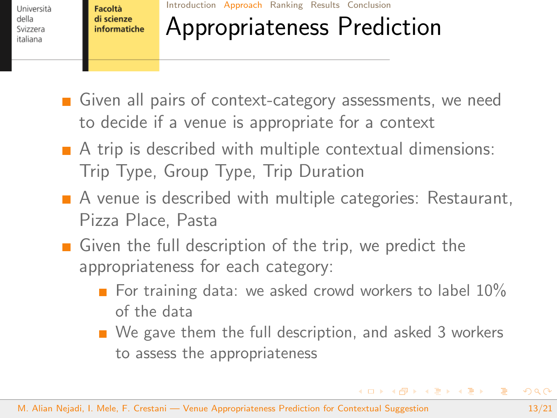Facoltà di scienze informatiche [Introduction](#page-1-0) [Approach](#page-4-0) [Ranking](#page-16-0) [Results](#page-17-0) [Conclusion](#page-19-0)

## Appropriateness Prediction

- Given all pairs of context-category assessments, we need to decide if a venue is appropriate for a context
- $\blacksquare$  A trip is described with multiple contextual dimensions: Trip Type, Group Type, Trip Duration
- A venue is described with multiple categories: Restaurant, Pizza Place, Pasta
- Given the full description of the trip, we predict the appropriateness for each category:
	- For training data: we asked crowd workers to label  $10\%$ of the data
	- We gave them the full description, and asked 3 workers to assess the appropriateness

 $\mathbf{A} \equiv \mathbf{A} + \mathbf{A} \mathbf{B} + \mathbf{A} \mathbf{B} + \mathbf{A} \mathbf{B} + \mathbf{A} \mathbf{B}$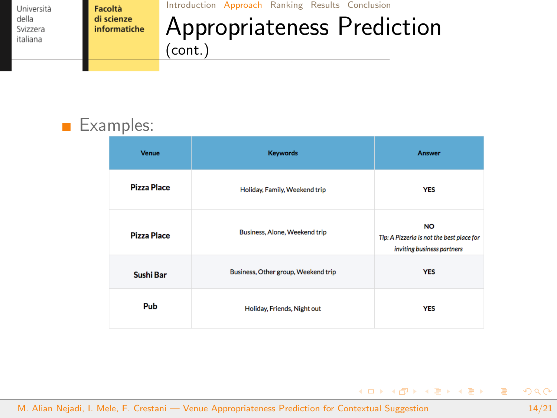Facoltà di scienze informatiche [Introduction](#page-1-0) [Approach](#page-4-0) [Ranking](#page-16-0) [Results](#page-17-0) [Conclusion](#page-19-0)

## Appropriateness Prediction (cont.)

#### Examples: **Tale**

| <b>Venue</b>       | <b>Keywords</b>                     | Answer                                                                               |  |
|--------------------|-------------------------------------|--------------------------------------------------------------------------------------|--|
| <b>Pizza Place</b> | Holiday, Family, Weekend trip       | <b>YES</b>                                                                           |  |
| <b>Pizza Place</b> | Business, Alone, Weekend trip       | <b>NO</b><br>Tip: A Pizzeria is not the best place for<br>inviting business partners |  |
| Sushi Bar          | Business, Other group, Weekend trip | <b>YES</b>                                                                           |  |
| Pub                | Holiday, Friends, Night out         | <b>YES</b>                                                                           |  |

M. Alian Nejadi, I. Mele, F. Crestani — [Venue Appropriateness Prediction for Contextual Suggestion](#page-0-0) 14/21

 $\equiv$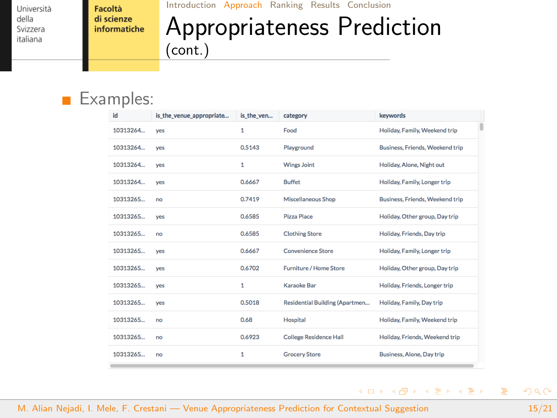Facoltà di scienze informatiche [Introduction](#page-1-0) [Approach](#page-4-0) [Ranking](#page-16-0) [Results](#page-17-0) [Conclusion](#page-19-0)

## Appropriateness Prediction (cont.)

#### Examples:  $\mathbf{r}$

| id       | is the venue appropriate | is the ven | category                       | keywords                        |
|----------|--------------------------|------------|--------------------------------|---------------------------------|
| 10313264 | ves                      | 1          | Food                           | Holiday, Family, Weekend trip   |
| 10313264 | ves                      | 0.5143     | Playground                     | Business, Friends, Weekend trip |
| 10313264 | ves                      | 1          | <b>Wings Joint</b>             | Holiday, Alone, Night out       |
| 10313264 | <b>ves</b>               | 0.6667     | <b>Buffet</b>                  | Holiday, Family, Longer trip    |
| 10313265 | no                       | 0.7419     | <b>Miscellaneous Shop</b>      | Business, Friends, Weekend trip |
| 10313265 | ves                      | 0.6585     | <b>Pizza Place</b>             | Holiday, Other group, Day trip  |
| 10313265 | no                       | 0.6585     | <b>Clothing Store</b>          | Holiday, Friends, Day trip      |
| 10313265 | yes                      | 0.6667     | <b>Convenience Store</b>       | Holiday, Family, Longer trip    |
| 10313265 | yes                      | 0.6702     | <b>Furniture / Home Store</b>  | Holiday, Other group, Day trip  |
| 10313265 | yes                      | 1          | Karaoke Bar                    | Holiday, Friends, Longer trip   |
| 10313265 | yes                      | 0.5018     | Residential Building (Apartmen | Holiday, Family, Day trip       |
| 10313265 | no                       | 0.68       | Hospital                       | Holiday, Family, Weekend trip   |
| 10313265 | no                       | 0.6923     | <b>College Residence Hall</b>  | Holiday, Friends, Weekend trip  |
| 10313265 | no                       | 1          | <b>Grocery Store</b>           | Business, Alone, Day trip       |

M. Alian Nejadi, I. Mele, F. Crestani — [Venue Appropriateness Prediction for Contextual Suggestion](#page-0-0) 15/21

重

 $A \equiv \mathbf{1} \times \mathbf{1} \oplus \mathbf{1} \times \mathbf{1} \oplus \mathbf{1} \times \mathbf{1} \oplus \mathbf{1}$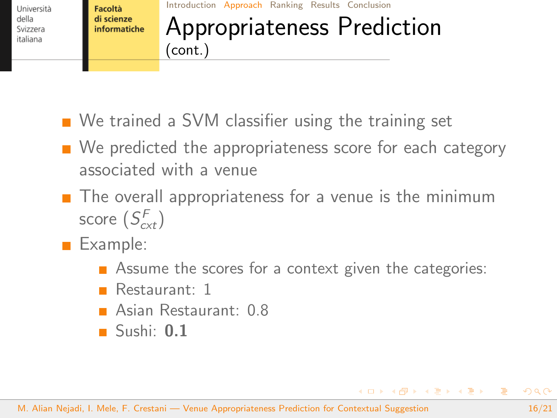

#### [Introduction](#page-1-0) [Approach](#page-4-0) [Ranking](#page-16-0) [Results](#page-17-0) [Conclusion](#page-19-0) Appropriateness Prediction (cont.)

- We trained a SVM classifier using the training set
- $\blacksquare$  We predicted the appropriateness score for each category associated with a venue
- $\blacksquare$  The overall appropriateness for a venue is the minimum score  $(S_{c\times t}^F)$
- Example:
	- Assume the scores for a context given the categories:
	- **Restaurant: 1**
	- **Asian Restaurant: 0.8**
	- $\blacksquare$  Sushi: 0.1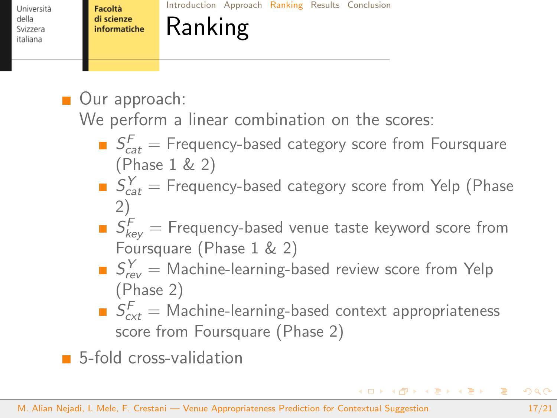<span id="page-16-0"></span>Università della Svizzera italiana

[Introduction](#page-1-0) [Approach](#page-4-0) [Ranking](#page-16-0) [Results](#page-17-0) [Conclusion](#page-19-0)

## Ranking

■ Our approach:

We perform a linear combination on the scores:

- $S_{cat}^F =$  Frequency-based category score from Foursquare (Phase 1 & 2)
- $S_{cat}^Y =$  Frequency-based category score from Yelp (Phase 2)
- $\mathcal{S}^F_{\mathsf{key}} =$  Frequency-based venue taste keyword score from Foursquare (Phase 1 & 2)
- $S_{rev}^Y =$  Machine-learning-based review score from Yelp (Phase 2)
- $S_{\text{cxt}}^{\text{F}} =$  Machine-learning-based context appropriateness score from Foursquare (Phase 2)

5-fold cross-validation

KID KAD KE KIEK E 1090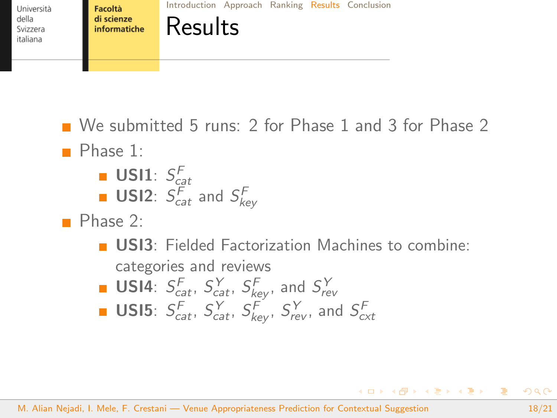<span id="page-17-0"></span>

[Introduction](#page-1-0) [Approach](#page-4-0) [Ranking](#page-16-0) [Results](#page-17-0) [Conclusion](#page-19-0)

Results

■ We submitted 5 runs: 2 for Phase 1 and 3 for Phase 2 **Phase 1:** usi mengenak  $\overline{\bigcap}$ 

**U U 11**: 
$$
S_{cat}^F
$$
 and  $S_{key}^F$ 

Phase 2:

**USI3:** Fielded Factorization Machines to combine: categories and reviews

**USI4**: 
$$
S_{cat}^F
$$
,  $S_{cat}^Y$ ,  $S_{key}^F$ , and  $S_{rev}^Y$ 

**USI5**: 
$$
S_{cat}^F
$$
,  $S_{cat}^Y$ ,  $S_{key}^F$ ,  $S_{rev}^Y$ , and  $S_{cxt}^F$ 

M. Alian Nejadi, I. Mele, F. Crestani — [Venue Appropriateness Prediction for Contextual Suggestion](#page-0-0) 18/21

 $\equiv$ 

イロト イ押 トイヨ トイヨ トー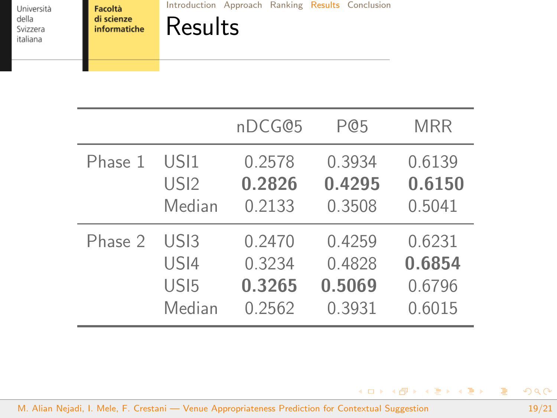Facoltà di scienze informatiche [Introduction](#page-1-0) [Approach](#page-4-0) [Ranking](#page-16-0) [Results](#page-17-0) [Conclusion](#page-19-0)

Results

|         |                  | nDCG@5 | P@5    | <b>MRR</b> |
|---------|------------------|--------|--------|------------|
| Phase 1 | USI1             | 0.2578 | 0.3934 | 0.6139     |
|         | US <sub>12</sub> | 0.2826 | 0.4295 | 0.6150     |
|         | Median           | 0.2133 | 0.3508 | 0.5041     |
| Phase 2 | USI3             | 0.2470 | 0.4259 | 0.6231     |
|         | USI4             | 0.3234 | 0.4828 | 0.6854     |
|         | US <sub>I5</sub> | 0.3265 | 0.5069 | 0.6796     |
|         | Median           | 0.2562 | 0.3931 | 0.6015     |

M. Alian Nejadi, I. Mele, F. Crestani — [Venue Appropriateness Prediction for Contextual Suggestion](#page-0-0) 19/21

K ロ ▶ K @ ▶ K 경 ▶ K 경 ▶ X 경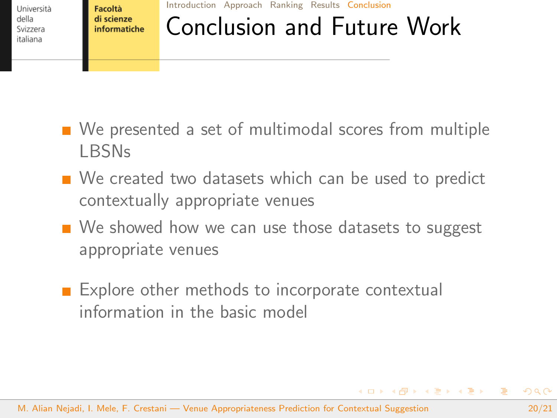<span id="page-19-0"></span>Facoltà di scienze informatiche [Introduction](#page-1-0) [Approach](#page-4-0) [Ranking](#page-16-0) [Results](#page-17-0) [Conclusion](#page-19-0)

## Conclusion and Future Work

- We presented a set of multimodal scores from multiple LBSNs
- We created two datasets which can be used to predict contextually appropriate venues
- We showed how we can use those datasets to suggest appropriate venues
- Explore other methods to incorporate contextual information in the basic model

 $4$  ロ }  $4$   $\overline{m}$  }  $4$   $\overline{m}$  }